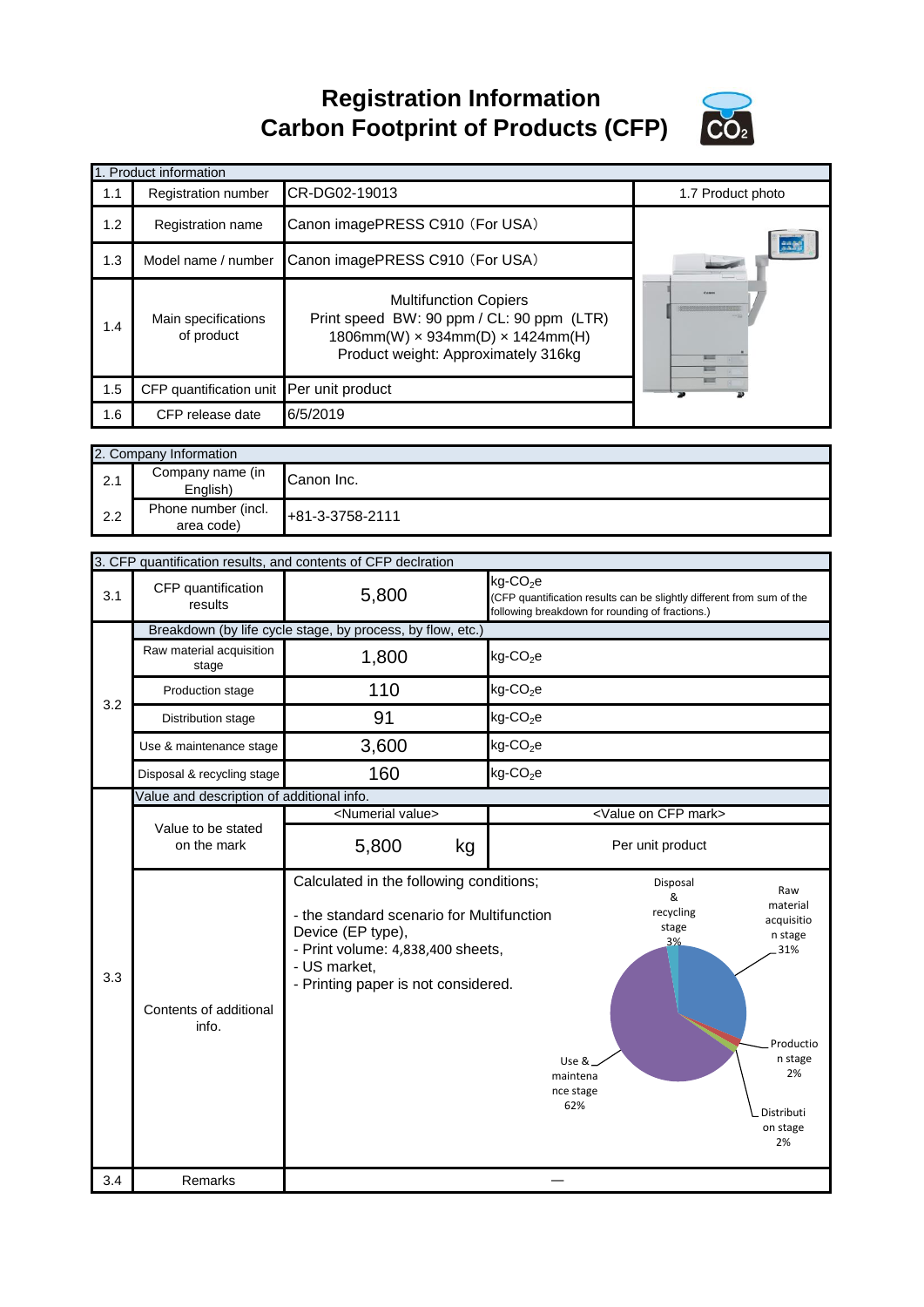**Registration Information Carbon Footprint of Products (CFP)**



|     | 1. Product information                     |                                                                                                                                                                       |                   |
|-----|--------------------------------------------|-----------------------------------------------------------------------------------------------------------------------------------------------------------------------|-------------------|
| 1.1 | Registration number                        | CR-DG02-19013                                                                                                                                                         | 1.7 Product photo |
| 1.2 | Registration name                          | Canon imagePRESS C910 (For USA)                                                                                                                                       |                   |
| 1.3 | Model name / number                        | Canon imagePRESS C910 (For USA)                                                                                                                                       | <b>And</b>        |
| 1.4 | Main specifications<br>of product          | <b>Multifunction Copiers</b><br>Print speed BW: 90 ppm / CL: 90 ppm (LTR)<br>$1806$ mm(W) $\times$ 934mm(D) $\times$ 1424mm(H)<br>Product weight: Approximately 316kg |                   |
| 1.5 | CFP quantification unit Per unit product   |                                                                                                                                                                       |                   |
| 1.6 | CFP release date                           | 6/5/2019                                                                                                                                                              |                   |
|     | 2. Company Information<br>Company namo (in |                                                                                                                                                                       |                   |

| 2.1 | Company name (in<br>Enalish)      | Canon Inc.      |
|-----|-----------------------------------|-----------------|
| 2.2 | Phone number (incl.<br>area code) | +81-3-3758-2111 |

|     |                                           | 3. CFP quantification results, and contents of CFP declration                                                                                                                                         |                                                                                                                                                                                                     |
|-----|-------------------------------------------|-------------------------------------------------------------------------------------------------------------------------------------------------------------------------------------------------------|-----------------------------------------------------------------------------------------------------------------------------------------------------------------------------------------------------|
| 3.1 | CFP quantification<br>results             | 5,800                                                                                                                                                                                                 | kg-CO <sub>2</sub> e<br>(CFP quantification results can be slightly different from sum of the<br>following breakdown for rounding of fractions.)                                                    |
|     |                                           | Breakdown (by life cycle stage, by process, by flow, etc.)                                                                                                                                            |                                                                                                                                                                                                     |
|     | Raw material acquisition<br>stage         | 1,800                                                                                                                                                                                                 | $kg$ -CO <sub>2</sub> e                                                                                                                                                                             |
| 3.2 | Production stage                          | 110                                                                                                                                                                                                   | $kg$ -CO <sub>2</sub> e                                                                                                                                                                             |
|     | Distribution stage                        | 91                                                                                                                                                                                                    | $kg$ -CO <sub>2</sub> e                                                                                                                                                                             |
|     | Use & maintenance stage                   | 3,600                                                                                                                                                                                                 | $kg$ -CO <sub>2</sub> e                                                                                                                                                                             |
|     | Disposal & recycling stage                | 160                                                                                                                                                                                                   | $kg$ -CO <sub>2</sub> e                                                                                                                                                                             |
|     | Value and description of additional info. |                                                                                                                                                                                                       |                                                                                                                                                                                                     |
|     |                                           | <numerial value=""></numerial>                                                                                                                                                                        | <value cfp="" mark="" on=""></value>                                                                                                                                                                |
|     | Value to be stated<br>on the mark         | 5,800<br>kg                                                                                                                                                                                           | Per unit product                                                                                                                                                                                    |
|     |                                           |                                                                                                                                                                                                       |                                                                                                                                                                                                     |
| 3.3 | Contents of additional<br>info.           | Calculated in the following conditions;<br>- the standard scenario for Multifunction<br>Device (EP type),<br>- Print volume: 4,838,400 sheets,<br>- US market,<br>- Printing paper is not considered. | Disposal<br>Raw<br>&<br>material<br>recycling<br>acquisitio<br>stage<br>n stage<br>3%<br>31%<br>Productio<br>n stage<br>Use &<br>2%<br>maintena<br>nce stage<br>62%<br>Distributi<br>on stage<br>2% |